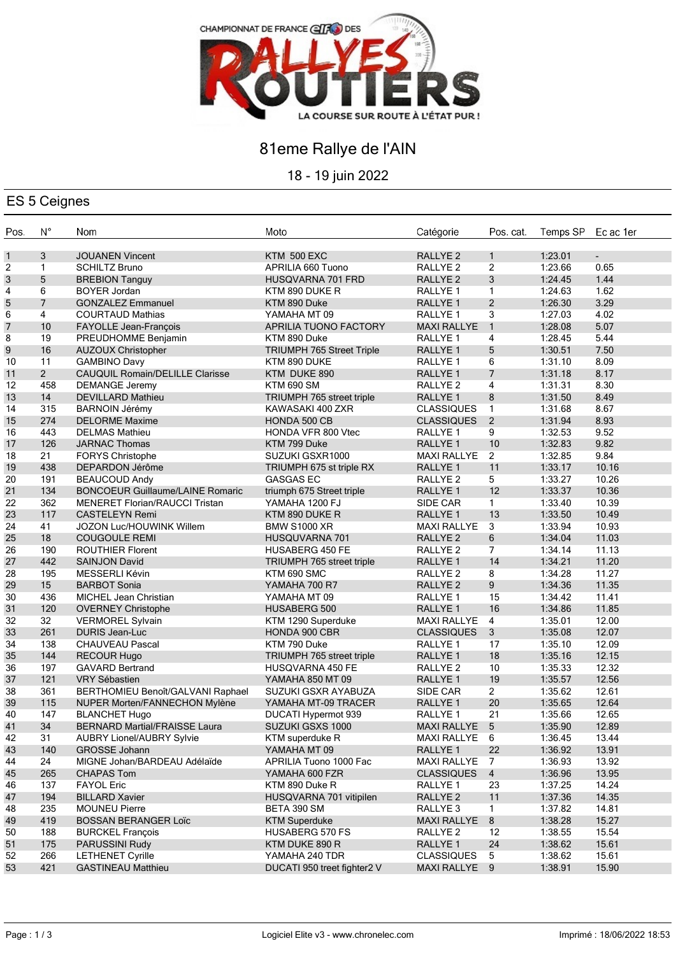

## 81eme Rallye de l'AIN

18 - 19 juin 2022

### ES 5 Ceignes

| 1<br>3<br><b>KTM 500 EXC</b><br>RALLYE <sub>2</sub><br>$\mathbf{1}$<br>1:23.01<br><b>JOUANEN Vincent</b><br>$\blacksquare$<br>2<br>$\mathbf{1}$<br>$\overline{2}$<br>1:23.66<br>0.65<br>APRILIA 660 Tuono<br>RALLYE <sub>2</sub><br><b>SCHILTZ Bruno</b><br>5<br>3<br>3<br>HUSQVARNA 701 FRD<br>RALLYE <sub>2</sub><br>1:24.45<br>1.44<br><b>BREBION Tanguy</b><br>6<br>1.62<br>4<br><b>BOYER Jordan</b><br>KTM 890 DUKE R<br>RALLYE <sub>1</sub><br>$\mathbf{1}$<br>1:24.63<br>$\overline{7}$<br>$\overline{2}$<br>5<br>1:26.30<br>3.29<br><b>GONZALEZ Emmanuel</b><br>KTM 890 Duke<br>RALLYE <sub>1</sub><br>3<br>6<br>4<br>RALLYE 1<br>1:27.03<br>4.02<br><b>COURTAUD Mathias</b><br>YAMAHA MT 09<br>$\mathbf{1}$<br>7<br>10<br>5.07<br>FAYOLLE Jean-François<br>APRILIA TUONO FACTORY<br><b>MAXI RALLYE</b><br>1:28.08<br>19<br>PREUDHOMME Benjamin<br>RALLYE 1<br>4<br>1:28.45<br>5.44<br>KTM 890 Duke<br>16<br>5<br>7.50<br><b>TRIUMPH 765 Street Triple</b><br>RALLYE 1<br>1:30.51<br><b>AUZOUX Christopher</b><br>11<br>6<br>8.09<br>1:31.10<br><b>GAMBINO Davy</b><br>KTM 890 DUKE<br>RALLYE 1<br>$\overline{2}$<br>CAUQUIL Romain/DELILLE Clarisse<br>$\overline{7}$<br>8.17<br>KTM DUKE 890<br>RALLYE 1<br>1:31.18<br>458<br>4<br><b>DEMANGE Jeremy</b><br><b>KTM 690 SM</b><br>1:31.31<br>8.30<br>RALLYE 2<br>14<br>8<br>8.49<br><b>DEVILLARD Mathieu</b><br>TRIUMPH 765 street triple<br>RALLYE <sub>1</sub><br>1:31.50<br>$\mathbf{1}$<br>315<br><b>CLASSIQUES</b><br>1:31.68<br>8.67<br><b>BARNOIN Jérémy</b><br>KAWASAKI 400 ZXR<br>$\overline{2}$<br>274<br><b>DELORME Maxime</b><br><b>CLASSIQUES</b><br>1:31.94<br>8.93<br>HONDA 500 CB<br>443<br>9<br><b>DELMAS Mathieu</b><br>HONDA VFR 800 Vtec<br>RALLYE 1<br>1:32.53<br>9.52<br>10<br>126<br><b>JARNAC Thomas</b><br>KTM 799 Duke<br>RALLYE 1<br>1:32.83<br>9.82<br>$\overline{2}$<br>9.84<br>21<br>FORYS Christophe<br>SUZUKI GSXR1000<br><b>MAXI RALLYE</b><br>1:32.85<br>11<br>438<br>DEPARDON Jérôme<br>TRIUMPH 675 st triple RX<br>RALLYE 1<br>1:33.17<br>10.16<br>191<br>5<br><b>BEAUCOUD Andy</b><br><b>GASGAS EC</b><br>RALLYE <sub>2</sub><br>1:33.27<br>10.26<br>134<br>12<br><b>BONCOEUR Guillaume/LAINE Romaric</b><br>1:33.37<br>10.36<br>triumph 675 Street triple<br>RALLYE <sub>1</sub><br>362<br>$\mathbf{1}$<br><b>MENERET Florian/RAUCCI Tristan</b><br>1:33.40<br>10.39<br>YAMAHA 1200 FJ<br>SIDE CAR<br>117<br>13<br><b>CASTELEYN Remi</b><br><b>RALLYE 1</b><br>1:33.50<br>10.49<br>KTM 890 DUKE R<br>3<br>41<br><b>MAXI RALLYE</b><br>1:33.94<br>10.93<br>JOZON Luc/HOUWINK Willem<br><b>BMW S1000 XR</b><br>18<br>6<br>1:34.04<br>11.03<br><b>COUGOULE REMI</b><br><b>HUSQUVARNA 701</b><br>RALLYE <sub>2</sub><br>190<br>$\overline{7}$<br>RALLYE <sub>2</sub><br>1:34.14<br>11.13<br><b>ROUTHIER Florent</b><br>HUSABERG 450 FE<br>442<br>14<br>11.20<br>RALLYE 1<br>1:34.21<br><b>SAINJON David</b><br>TRIUMPH 765 street triple<br>11.27<br>195<br>MESSERLI Kévin<br>KTM 690 SMC<br>RALLYE <sub>2</sub><br>8<br>1:34.28<br>9<br>15<br>11.35<br><b>BARBOT Sonia</b><br>RALLYE <sub>2</sub><br>1:34.36<br>YAMAHA 700 R7<br>436<br>15<br>1:34.42<br>11.41<br>MICHEL Jean Christian<br>YAMAHA MT 09<br>RALLYE 1<br>16<br>11.85<br>120<br>RALLYE <sub>1</sub><br>1:34.86<br><b>OVERNEY Christophe</b><br><b>HUSABERG 500</b><br>32<br><b>VERMOREL Sylvain</b><br><b>MAXI RALLYE</b><br>$\overline{4}$<br>1:35.01<br>12.00<br>KTM 1290 Superduke<br>261<br>$\mathbf{3}$<br>12.07<br><b>DURIS Jean-Luc</b><br><b>CLASSIQUES</b><br>1:35.08<br>HONDA 900 CBR<br>138<br>17<br><b>CHAUVEAU Pascal</b><br>KTM 790 Duke<br>12.09<br>RALLYE 1<br>1:35.10<br>144<br>18<br>12.15<br><b>RECOUR Hugo</b><br>TRIUMPH 765 street triple<br>RALLYE <sub>1</sub><br>1:35.16<br>197<br>10<br>1:35.33<br>12.32<br><b>GAVARD Bertrand</b><br>HUSQVARNA 450 FE<br>RALLYE <sub>2</sub><br>121<br>19<br>12.56<br>RALLYE 1<br>1:35.57<br><b>VRY Sébastien</b><br>YAMAHA 850 MT 09<br>361<br>$\overline{2}$<br>BERTHOMIEU Benoît/GALVANI Raphael<br>SIDE CAR<br>1:35.62<br>12.61<br>SUZUKI GSXR AYABUZA<br>20<br>115<br>NUPER Morten/FANNECHON Mylène<br>1:35.65<br>12.64<br>YAMAHA MT-09 TRACER<br>RALLYE <sub>1</sub><br>147<br>21<br>1:35.66<br>12.65<br><b>BLANCHET Hugo</b><br><b>DUCATI Hypermot 939</b><br>RALLYE 1<br>34<br><b>BERNARD Martial/FRAISSE Laura</b><br>SUZUKI GSXS 1000<br>MAXI RALLYE 5<br>1:35.90<br>12.89<br>1:36.45<br>31<br><b>AUBRY Lionel/AUBRY Sylvie</b><br>KTM superduke R<br>MAXI RALLYE 6<br>13.44<br>140<br>YAMAHA MT 09<br>22<br>1:36.92<br>13.91<br><b>GROSSE Johann</b><br>RALLYE <sub>1</sub><br>24<br>1:36.93<br>13.92<br>MIGNE Johan/BARDEAU Adélaïde<br>APRILIA Tuono 1000 Fac<br><b>MAXI RALLYE</b><br>$\overline{7}$<br>265<br>YAMAHA 600 FZR<br><b>CLASSIQUES</b><br>$\overline{4}$<br>1:36.96<br>13.95<br><b>CHAPAS Tom</b><br>137<br><b>FAYOL Eric</b><br>1:37.25<br>14.24<br>KTM 890 Duke R<br>RALLYE 1<br>23<br>11<br>194<br><b>BILLARD Xavier</b><br>1:37.36<br>14.35<br>HUSQVARNA 701 vitipilen<br>RALLYE <sub>2</sub><br>235<br>1<br>1:37.82<br>14.81<br><b>MOUNEU Pierre</b><br>BETA 390 SM<br>RALLYE <sub>3</sub> | Pos. | $N^{\circ}$ | Nom                         | Moto                        | Catégorie          | Pos. cat. | Temps SP | Ec ac 1er |
|-----------------------------------------------------------------------------------------------------------------------------------------------------------------------------------------------------------------------------------------------------------------------------------------------------------------------------------------------------------------------------------------------------------------------------------------------------------------------------------------------------------------------------------------------------------------------------------------------------------------------------------------------------------------------------------------------------------------------------------------------------------------------------------------------------------------------------------------------------------------------------------------------------------------------------------------------------------------------------------------------------------------------------------------------------------------------------------------------------------------------------------------------------------------------------------------------------------------------------------------------------------------------------------------------------------------------------------------------------------------------------------------------------------------------------------------------------------------------------------------------------------------------------------------------------------------------------------------------------------------------------------------------------------------------------------------------------------------------------------------------------------------------------------------------------------------------------------------------------------------------------------------------------------------------------------------------------------------------------------------------------------------------------------------------------------------------------------------------------------------------------------------------------------------------------------------------------------------------------------------------------------------------------------------------------------------------------------------------------------------------------------------------------------------------------------------------------------------------------------------------------------------------------------------------------------------------------------------------------------------------------------------------------------------------------------------------------------------------------------------------------------------------------------------------------------------------------------------------------------------------------------------------------------------------------------------------------------------------------------------------------------------------------------------------------------------------------------------------------------------------------------------------------------------------------------------------------------------------------------------------------------------------------------------------------------------------------------------------------------------------------------------------------------------------------------------------------------------------------------------------------------------------------------------------------------------------------------------------------------------------------------------------------------------------------------------------------------------------------------------------------------------------------------------------------------------------------------------------------------------------------------------------------------------------------------------------------------------------------------------------------------------------------------------------------------------------------------------------------------------------------------------------------------------------------------------------------------------------------------------------------------------------------------------------------------------------------------------------------------------------------------------------------------------------------------------------------------------------------------------------------------------------------------------------------------------------------------------------------------------------------------------------------------------------------------------------------------------------------------------------------------------------------------------------------------------------------------------------------------------------------------------------------------------------------------------------------------------------------------------------------------------------------------------------------------------------------------------------------------------------------------------------|------|-------------|-----------------------------|-----------------------------|--------------------|-----------|----------|-----------|
|                                                                                                                                                                                                                                                                                                                                                                                                                                                                                                                                                                                                                                                                                                                                                                                                                                                                                                                                                                                                                                                                                                                                                                                                                                                                                                                                                                                                                                                                                                                                                                                                                                                                                                                                                                                                                                                                                                                                                                                                                                                                                                                                                                                                                                                                                                                                                                                                                                                                                                                                                                                                                                                                                                                                                                                                                                                                                                                                                                                                                                                                                                                                                                                                                                                                                                                                                                                                                                                                                                                                                                                                                                                                                                                                                                                                                                                                                                                                                                                                                                                                                                                                                                                                                                                                                                                                                                                                                                                                                                                                                                                                                                                                                                                                                                                                                                                                                                                                                                                                                                                                                                                                               |      |             |                             |                             |                    |           |          |           |
|                                                                                                                                                                                                                                                                                                                                                                                                                                                                                                                                                                                                                                                                                                                                                                                                                                                                                                                                                                                                                                                                                                                                                                                                                                                                                                                                                                                                                                                                                                                                                                                                                                                                                                                                                                                                                                                                                                                                                                                                                                                                                                                                                                                                                                                                                                                                                                                                                                                                                                                                                                                                                                                                                                                                                                                                                                                                                                                                                                                                                                                                                                                                                                                                                                                                                                                                                                                                                                                                                                                                                                                                                                                                                                                                                                                                                                                                                                                                                                                                                                                                                                                                                                                                                                                                                                                                                                                                                                                                                                                                                                                                                                                                                                                                                                                                                                                                                                                                                                                                                                                                                                                                               |      |             |                             |                             |                    |           |          |           |
|                                                                                                                                                                                                                                                                                                                                                                                                                                                                                                                                                                                                                                                                                                                                                                                                                                                                                                                                                                                                                                                                                                                                                                                                                                                                                                                                                                                                                                                                                                                                                                                                                                                                                                                                                                                                                                                                                                                                                                                                                                                                                                                                                                                                                                                                                                                                                                                                                                                                                                                                                                                                                                                                                                                                                                                                                                                                                                                                                                                                                                                                                                                                                                                                                                                                                                                                                                                                                                                                                                                                                                                                                                                                                                                                                                                                                                                                                                                                                                                                                                                                                                                                                                                                                                                                                                                                                                                                                                                                                                                                                                                                                                                                                                                                                                                                                                                                                                                                                                                                                                                                                                                                               |      |             |                             |                             |                    |           |          |           |
|                                                                                                                                                                                                                                                                                                                                                                                                                                                                                                                                                                                                                                                                                                                                                                                                                                                                                                                                                                                                                                                                                                                                                                                                                                                                                                                                                                                                                                                                                                                                                                                                                                                                                                                                                                                                                                                                                                                                                                                                                                                                                                                                                                                                                                                                                                                                                                                                                                                                                                                                                                                                                                                                                                                                                                                                                                                                                                                                                                                                                                                                                                                                                                                                                                                                                                                                                                                                                                                                                                                                                                                                                                                                                                                                                                                                                                                                                                                                                                                                                                                                                                                                                                                                                                                                                                                                                                                                                                                                                                                                                                                                                                                                                                                                                                                                                                                                                                                                                                                                                                                                                                                                               |      |             |                             |                             |                    |           |          |           |
|                                                                                                                                                                                                                                                                                                                                                                                                                                                                                                                                                                                                                                                                                                                                                                                                                                                                                                                                                                                                                                                                                                                                                                                                                                                                                                                                                                                                                                                                                                                                                                                                                                                                                                                                                                                                                                                                                                                                                                                                                                                                                                                                                                                                                                                                                                                                                                                                                                                                                                                                                                                                                                                                                                                                                                                                                                                                                                                                                                                                                                                                                                                                                                                                                                                                                                                                                                                                                                                                                                                                                                                                                                                                                                                                                                                                                                                                                                                                                                                                                                                                                                                                                                                                                                                                                                                                                                                                                                                                                                                                                                                                                                                                                                                                                                                                                                                                                                                                                                                                                                                                                                                                               |      |             |                             |                             |                    |           |          |           |
|                                                                                                                                                                                                                                                                                                                                                                                                                                                                                                                                                                                                                                                                                                                                                                                                                                                                                                                                                                                                                                                                                                                                                                                                                                                                                                                                                                                                                                                                                                                                                                                                                                                                                                                                                                                                                                                                                                                                                                                                                                                                                                                                                                                                                                                                                                                                                                                                                                                                                                                                                                                                                                                                                                                                                                                                                                                                                                                                                                                                                                                                                                                                                                                                                                                                                                                                                                                                                                                                                                                                                                                                                                                                                                                                                                                                                                                                                                                                                                                                                                                                                                                                                                                                                                                                                                                                                                                                                                                                                                                                                                                                                                                                                                                                                                                                                                                                                                                                                                                                                                                                                                                                               |      |             |                             |                             |                    |           |          |           |
| 8<br>9<br>10<br>11<br>12<br>13<br>14                                                                                                                                                                                                                                                                                                                                                                                                                                                                                                                                                                                                                                                                                                                                                                                                                                                                                                                                                                                                                                                                                                                                                                                                                                                                                                                                                                                                                                                                                                                                                                                                                                                                                                                                                                                                                                                                                                                                                                                                                                                                                                                                                                                                                                                                                                                                                                                                                                                                                                                                                                                                                                                                                                                                                                                                                                                                                                                                                                                                                                                                                                                                                                                                                                                                                                                                                                                                                                                                                                                                                                                                                                                                                                                                                                                                                                                                                                                                                                                                                                                                                                                                                                                                                                                                                                                                                                                                                                                                                                                                                                                                                                                                                                                                                                                                                                                                                                                                                                                                                                                                                                          |      |             |                             |                             |                    |           |          |           |
|                                                                                                                                                                                                                                                                                                                                                                                                                                                                                                                                                                                                                                                                                                                                                                                                                                                                                                                                                                                                                                                                                                                                                                                                                                                                                                                                                                                                                                                                                                                                                                                                                                                                                                                                                                                                                                                                                                                                                                                                                                                                                                                                                                                                                                                                                                                                                                                                                                                                                                                                                                                                                                                                                                                                                                                                                                                                                                                                                                                                                                                                                                                                                                                                                                                                                                                                                                                                                                                                                                                                                                                                                                                                                                                                                                                                                                                                                                                                                                                                                                                                                                                                                                                                                                                                                                                                                                                                                                                                                                                                                                                                                                                                                                                                                                                                                                                                                                                                                                                                                                                                                                                                               |      |             |                             |                             |                    |           |          |           |
|                                                                                                                                                                                                                                                                                                                                                                                                                                                                                                                                                                                                                                                                                                                                                                                                                                                                                                                                                                                                                                                                                                                                                                                                                                                                                                                                                                                                                                                                                                                                                                                                                                                                                                                                                                                                                                                                                                                                                                                                                                                                                                                                                                                                                                                                                                                                                                                                                                                                                                                                                                                                                                                                                                                                                                                                                                                                                                                                                                                                                                                                                                                                                                                                                                                                                                                                                                                                                                                                                                                                                                                                                                                                                                                                                                                                                                                                                                                                                                                                                                                                                                                                                                                                                                                                                                                                                                                                                                                                                                                                                                                                                                                                                                                                                                                                                                                                                                                                                                                                                                                                                                                                               |      |             |                             |                             |                    |           |          |           |
|                                                                                                                                                                                                                                                                                                                                                                                                                                                                                                                                                                                                                                                                                                                                                                                                                                                                                                                                                                                                                                                                                                                                                                                                                                                                                                                                                                                                                                                                                                                                                                                                                                                                                                                                                                                                                                                                                                                                                                                                                                                                                                                                                                                                                                                                                                                                                                                                                                                                                                                                                                                                                                                                                                                                                                                                                                                                                                                                                                                                                                                                                                                                                                                                                                                                                                                                                                                                                                                                                                                                                                                                                                                                                                                                                                                                                                                                                                                                                                                                                                                                                                                                                                                                                                                                                                                                                                                                                                                                                                                                                                                                                                                                                                                                                                                                                                                                                                                                                                                                                                                                                                                                               |      |             |                             |                             |                    |           |          |           |
|                                                                                                                                                                                                                                                                                                                                                                                                                                                                                                                                                                                                                                                                                                                                                                                                                                                                                                                                                                                                                                                                                                                                                                                                                                                                                                                                                                                                                                                                                                                                                                                                                                                                                                                                                                                                                                                                                                                                                                                                                                                                                                                                                                                                                                                                                                                                                                                                                                                                                                                                                                                                                                                                                                                                                                                                                                                                                                                                                                                                                                                                                                                                                                                                                                                                                                                                                                                                                                                                                                                                                                                                                                                                                                                                                                                                                                                                                                                                                                                                                                                                                                                                                                                                                                                                                                                                                                                                                                                                                                                                                                                                                                                                                                                                                                                                                                                                                                                                                                                                                                                                                                                                               |      |             |                             |                             |                    |           |          |           |
|                                                                                                                                                                                                                                                                                                                                                                                                                                                                                                                                                                                                                                                                                                                                                                                                                                                                                                                                                                                                                                                                                                                                                                                                                                                                                                                                                                                                                                                                                                                                                                                                                                                                                                                                                                                                                                                                                                                                                                                                                                                                                                                                                                                                                                                                                                                                                                                                                                                                                                                                                                                                                                                                                                                                                                                                                                                                                                                                                                                                                                                                                                                                                                                                                                                                                                                                                                                                                                                                                                                                                                                                                                                                                                                                                                                                                                                                                                                                                                                                                                                                                                                                                                                                                                                                                                                                                                                                                                                                                                                                                                                                                                                                                                                                                                                                                                                                                                                                                                                                                                                                                                                                               |      |             |                             |                             |                    |           |          |           |
|                                                                                                                                                                                                                                                                                                                                                                                                                                                                                                                                                                                                                                                                                                                                                                                                                                                                                                                                                                                                                                                                                                                                                                                                                                                                                                                                                                                                                                                                                                                                                                                                                                                                                                                                                                                                                                                                                                                                                                                                                                                                                                                                                                                                                                                                                                                                                                                                                                                                                                                                                                                                                                                                                                                                                                                                                                                                                                                                                                                                                                                                                                                                                                                                                                                                                                                                                                                                                                                                                                                                                                                                                                                                                                                                                                                                                                                                                                                                                                                                                                                                                                                                                                                                                                                                                                                                                                                                                                                                                                                                                                                                                                                                                                                                                                                                                                                                                                                                                                                                                                                                                                                                               |      |             |                             |                             |                    |           |          |           |
| 15<br>16<br>17<br>18<br>19<br>20<br>21<br>22<br>23<br>24<br>25<br>26<br>27<br>28<br>29<br>30<br>31<br>32<br>33<br>34<br>35<br>36<br>37<br>38<br>39<br>40<br>41<br>42<br>43<br>44<br>45<br>46<br>47<br>48                                                                                                                                                                                                                                                                                                                                                                                                                                                                                                                                                                                                                                                                                                                                                                                                                                                                                                                                                                                                                                                                                                                                                                                                                                                                                                                                                                                                                                                                                                                                                                                                                                                                                                                                                                                                                                                                                                                                                                                                                                                                                                                                                                                                                                                                                                                                                                                                                                                                                                                                                                                                                                                                                                                                                                                                                                                                                                                                                                                                                                                                                                                                                                                                                                                                                                                                                                                                                                                                                                                                                                                                                                                                                                                                                                                                                                                                                                                                                                                                                                                                                                                                                                                                                                                                                                                                                                                                                                                                                                                                                                                                                                                                                                                                                                                                                                                                                                                                      |      |             |                             |                             |                    |           |          |           |
|                                                                                                                                                                                                                                                                                                                                                                                                                                                                                                                                                                                                                                                                                                                                                                                                                                                                                                                                                                                                                                                                                                                                                                                                                                                                                                                                                                                                                                                                                                                                                                                                                                                                                                                                                                                                                                                                                                                                                                                                                                                                                                                                                                                                                                                                                                                                                                                                                                                                                                                                                                                                                                                                                                                                                                                                                                                                                                                                                                                                                                                                                                                                                                                                                                                                                                                                                                                                                                                                                                                                                                                                                                                                                                                                                                                                                                                                                                                                                                                                                                                                                                                                                                                                                                                                                                                                                                                                                                                                                                                                                                                                                                                                                                                                                                                                                                                                                                                                                                                                                                                                                                                                               |      |             |                             |                             |                    |           |          |           |
|                                                                                                                                                                                                                                                                                                                                                                                                                                                                                                                                                                                                                                                                                                                                                                                                                                                                                                                                                                                                                                                                                                                                                                                                                                                                                                                                                                                                                                                                                                                                                                                                                                                                                                                                                                                                                                                                                                                                                                                                                                                                                                                                                                                                                                                                                                                                                                                                                                                                                                                                                                                                                                                                                                                                                                                                                                                                                                                                                                                                                                                                                                                                                                                                                                                                                                                                                                                                                                                                                                                                                                                                                                                                                                                                                                                                                                                                                                                                                                                                                                                                                                                                                                                                                                                                                                                                                                                                                                                                                                                                                                                                                                                                                                                                                                                                                                                                                                                                                                                                                                                                                                                                               |      |             |                             |                             |                    |           |          |           |
|                                                                                                                                                                                                                                                                                                                                                                                                                                                                                                                                                                                                                                                                                                                                                                                                                                                                                                                                                                                                                                                                                                                                                                                                                                                                                                                                                                                                                                                                                                                                                                                                                                                                                                                                                                                                                                                                                                                                                                                                                                                                                                                                                                                                                                                                                                                                                                                                                                                                                                                                                                                                                                                                                                                                                                                                                                                                                                                                                                                                                                                                                                                                                                                                                                                                                                                                                                                                                                                                                                                                                                                                                                                                                                                                                                                                                                                                                                                                                                                                                                                                                                                                                                                                                                                                                                                                                                                                                                                                                                                                                                                                                                                                                                                                                                                                                                                                                                                                                                                                                                                                                                                                               |      |             |                             |                             |                    |           |          |           |
|                                                                                                                                                                                                                                                                                                                                                                                                                                                                                                                                                                                                                                                                                                                                                                                                                                                                                                                                                                                                                                                                                                                                                                                                                                                                                                                                                                                                                                                                                                                                                                                                                                                                                                                                                                                                                                                                                                                                                                                                                                                                                                                                                                                                                                                                                                                                                                                                                                                                                                                                                                                                                                                                                                                                                                                                                                                                                                                                                                                                                                                                                                                                                                                                                                                                                                                                                                                                                                                                                                                                                                                                                                                                                                                                                                                                                                                                                                                                                                                                                                                                                                                                                                                                                                                                                                                                                                                                                                                                                                                                                                                                                                                                                                                                                                                                                                                                                                                                                                                                                                                                                                                                               |      |             |                             |                             |                    |           |          |           |
|                                                                                                                                                                                                                                                                                                                                                                                                                                                                                                                                                                                                                                                                                                                                                                                                                                                                                                                                                                                                                                                                                                                                                                                                                                                                                                                                                                                                                                                                                                                                                                                                                                                                                                                                                                                                                                                                                                                                                                                                                                                                                                                                                                                                                                                                                                                                                                                                                                                                                                                                                                                                                                                                                                                                                                                                                                                                                                                                                                                                                                                                                                                                                                                                                                                                                                                                                                                                                                                                                                                                                                                                                                                                                                                                                                                                                                                                                                                                                                                                                                                                                                                                                                                                                                                                                                                                                                                                                                                                                                                                                                                                                                                                                                                                                                                                                                                                                                                                                                                                                                                                                                                                               |      |             |                             |                             |                    |           |          |           |
|                                                                                                                                                                                                                                                                                                                                                                                                                                                                                                                                                                                                                                                                                                                                                                                                                                                                                                                                                                                                                                                                                                                                                                                                                                                                                                                                                                                                                                                                                                                                                                                                                                                                                                                                                                                                                                                                                                                                                                                                                                                                                                                                                                                                                                                                                                                                                                                                                                                                                                                                                                                                                                                                                                                                                                                                                                                                                                                                                                                                                                                                                                                                                                                                                                                                                                                                                                                                                                                                                                                                                                                                                                                                                                                                                                                                                                                                                                                                                                                                                                                                                                                                                                                                                                                                                                                                                                                                                                                                                                                                                                                                                                                                                                                                                                                                                                                                                                                                                                                                                                                                                                                                               |      |             |                             |                             |                    |           |          |           |
|                                                                                                                                                                                                                                                                                                                                                                                                                                                                                                                                                                                                                                                                                                                                                                                                                                                                                                                                                                                                                                                                                                                                                                                                                                                                                                                                                                                                                                                                                                                                                                                                                                                                                                                                                                                                                                                                                                                                                                                                                                                                                                                                                                                                                                                                                                                                                                                                                                                                                                                                                                                                                                                                                                                                                                                                                                                                                                                                                                                                                                                                                                                                                                                                                                                                                                                                                                                                                                                                                                                                                                                                                                                                                                                                                                                                                                                                                                                                                                                                                                                                                                                                                                                                                                                                                                                                                                                                                                                                                                                                                                                                                                                                                                                                                                                                                                                                                                                                                                                                                                                                                                                                               |      |             |                             |                             |                    |           |          |           |
|                                                                                                                                                                                                                                                                                                                                                                                                                                                                                                                                                                                                                                                                                                                                                                                                                                                                                                                                                                                                                                                                                                                                                                                                                                                                                                                                                                                                                                                                                                                                                                                                                                                                                                                                                                                                                                                                                                                                                                                                                                                                                                                                                                                                                                                                                                                                                                                                                                                                                                                                                                                                                                                                                                                                                                                                                                                                                                                                                                                                                                                                                                                                                                                                                                                                                                                                                                                                                                                                                                                                                                                                                                                                                                                                                                                                                                                                                                                                                                                                                                                                                                                                                                                                                                                                                                                                                                                                                                                                                                                                                                                                                                                                                                                                                                                                                                                                                                                                                                                                                                                                                                                                               |      |             |                             |                             |                    |           |          |           |
|                                                                                                                                                                                                                                                                                                                                                                                                                                                                                                                                                                                                                                                                                                                                                                                                                                                                                                                                                                                                                                                                                                                                                                                                                                                                                                                                                                                                                                                                                                                                                                                                                                                                                                                                                                                                                                                                                                                                                                                                                                                                                                                                                                                                                                                                                                                                                                                                                                                                                                                                                                                                                                                                                                                                                                                                                                                                                                                                                                                                                                                                                                                                                                                                                                                                                                                                                                                                                                                                                                                                                                                                                                                                                                                                                                                                                                                                                                                                                                                                                                                                                                                                                                                                                                                                                                                                                                                                                                                                                                                                                                                                                                                                                                                                                                                                                                                                                                                                                                                                                                                                                                                                               |      |             |                             |                             |                    |           |          |           |
|                                                                                                                                                                                                                                                                                                                                                                                                                                                                                                                                                                                                                                                                                                                                                                                                                                                                                                                                                                                                                                                                                                                                                                                                                                                                                                                                                                                                                                                                                                                                                                                                                                                                                                                                                                                                                                                                                                                                                                                                                                                                                                                                                                                                                                                                                                                                                                                                                                                                                                                                                                                                                                                                                                                                                                                                                                                                                                                                                                                                                                                                                                                                                                                                                                                                                                                                                                                                                                                                                                                                                                                                                                                                                                                                                                                                                                                                                                                                                                                                                                                                                                                                                                                                                                                                                                                                                                                                                                                                                                                                                                                                                                                                                                                                                                                                                                                                                                                                                                                                                                                                                                                                               |      |             |                             |                             |                    |           |          |           |
|                                                                                                                                                                                                                                                                                                                                                                                                                                                                                                                                                                                                                                                                                                                                                                                                                                                                                                                                                                                                                                                                                                                                                                                                                                                                                                                                                                                                                                                                                                                                                                                                                                                                                                                                                                                                                                                                                                                                                                                                                                                                                                                                                                                                                                                                                                                                                                                                                                                                                                                                                                                                                                                                                                                                                                                                                                                                                                                                                                                                                                                                                                                                                                                                                                                                                                                                                                                                                                                                                                                                                                                                                                                                                                                                                                                                                                                                                                                                                                                                                                                                                                                                                                                                                                                                                                                                                                                                                                                                                                                                                                                                                                                                                                                                                                                                                                                                                                                                                                                                                                                                                                                                               |      |             |                             |                             |                    |           |          |           |
|                                                                                                                                                                                                                                                                                                                                                                                                                                                                                                                                                                                                                                                                                                                                                                                                                                                                                                                                                                                                                                                                                                                                                                                                                                                                                                                                                                                                                                                                                                                                                                                                                                                                                                                                                                                                                                                                                                                                                                                                                                                                                                                                                                                                                                                                                                                                                                                                                                                                                                                                                                                                                                                                                                                                                                                                                                                                                                                                                                                                                                                                                                                                                                                                                                                                                                                                                                                                                                                                                                                                                                                                                                                                                                                                                                                                                                                                                                                                                                                                                                                                                                                                                                                                                                                                                                                                                                                                                                                                                                                                                                                                                                                                                                                                                                                                                                                                                                                                                                                                                                                                                                                                               |      |             |                             |                             |                    |           |          |           |
|                                                                                                                                                                                                                                                                                                                                                                                                                                                                                                                                                                                                                                                                                                                                                                                                                                                                                                                                                                                                                                                                                                                                                                                                                                                                                                                                                                                                                                                                                                                                                                                                                                                                                                                                                                                                                                                                                                                                                                                                                                                                                                                                                                                                                                                                                                                                                                                                                                                                                                                                                                                                                                                                                                                                                                                                                                                                                                                                                                                                                                                                                                                                                                                                                                                                                                                                                                                                                                                                                                                                                                                                                                                                                                                                                                                                                                                                                                                                                                                                                                                                                                                                                                                                                                                                                                                                                                                                                                                                                                                                                                                                                                                                                                                                                                                                                                                                                                                                                                                                                                                                                                                                               |      |             |                             |                             |                    |           |          |           |
|                                                                                                                                                                                                                                                                                                                                                                                                                                                                                                                                                                                                                                                                                                                                                                                                                                                                                                                                                                                                                                                                                                                                                                                                                                                                                                                                                                                                                                                                                                                                                                                                                                                                                                                                                                                                                                                                                                                                                                                                                                                                                                                                                                                                                                                                                                                                                                                                                                                                                                                                                                                                                                                                                                                                                                                                                                                                                                                                                                                                                                                                                                                                                                                                                                                                                                                                                                                                                                                                                                                                                                                                                                                                                                                                                                                                                                                                                                                                                                                                                                                                                                                                                                                                                                                                                                                                                                                                                                                                                                                                                                                                                                                                                                                                                                                                                                                                                                                                                                                                                                                                                                                                               |      |             |                             |                             |                    |           |          |           |
|                                                                                                                                                                                                                                                                                                                                                                                                                                                                                                                                                                                                                                                                                                                                                                                                                                                                                                                                                                                                                                                                                                                                                                                                                                                                                                                                                                                                                                                                                                                                                                                                                                                                                                                                                                                                                                                                                                                                                                                                                                                                                                                                                                                                                                                                                                                                                                                                                                                                                                                                                                                                                                                                                                                                                                                                                                                                                                                                                                                                                                                                                                                                                                                                                                                                                                                                                                                                                                                                                                                                                                                                                                                                                                                                                                                                                                                                                                                                                                                                                                                                                                                                                                                                                                                                                                                                                                                                                                                                                                                                                                                                                                                                                                                                                                                                                                                                                                                                                                                                                                                                                                                                               |      |             |                             |                             |                    |           |          |           |
|                                                                                                                                                                                                                                                                                                                                                                                                                                                                                                                                                                                                                                                                                                                                                                                                                                                                                                                                                                                                                                                                                                                                                                                                                                                                                                                                                                                                                                                                                                                                                                                                                                                                                                                                                                                                                                                                                                                                                                                                                                                                                                                                                                                                                                                                                                                                                                                                                                                                                                                                                                                                                                                                                                                                                                                                                                                                                                                                                                                                                                                                                                                                                                                                                                                                                                                                                                                                                                                                                                                                                                                                                                                                                                                                                                                                                                                                                                                                                                                                                                                                                                                                                                                                                                                                                                                                                                                                                                                                                                                                                                                                                                                                                                                                                                                                                                                                                                                                                                                                                                                                                                                                               |      |             |                             |                             |                    |           |          |           |
|                                                                                                                                                                                                                                                                                                                                                                                                                                                                                                                                                                                                                                                                                                                                                                                                                                                                                                                                                                                                                                                                                                                                                                                                                                                                                                                                                                                                                                                                                                                                                                                                                                                                                                                                                                                                                                                                                                                                                                                                                                                                                                                                                                                                                                                                                                                                                                                                                                                                                                                                                                                                                                                                                                                                                                                                                                                                                                                                                                                                                                                                                                                                                                                                                                                                                                                                                                                                                                                                                                                                                                                                                                                                                                                                                                                                                                                                                                                                                                                                                                                                                                                                                                                                                                                                                                                                                                                                                                                                                                                                                                                                                                                                                                                                                                                                                                                                                                                                                                                                                                                                                                                                               |      |             |                             |                             |                    |           |          |           |
|                                                                                                                                                                                                                                                                                                                                                                                                                                                                                                                                                                                                                                                                                                                                                                                                                                                                                                                                                                                                                                                                                                                                                                                                                                                                                                                                                                                                                                                                                                                                                                                                                                                                                                                                                                                                                                                                                                                                                                                                                                                                                                                                                                                                                                                                                                                                                                                                                                                                                                                                                                                                                                                                                                                                                                                                                                                                                                                                                                                                                                                                                                                                                                                                                                                                                                                                                                                                                                                                                                                                                                                                                                                                                                                                                                                                                                                                                                                                                                                                                                                                                                                                                                                                                                                                                                                                                                                                                                                                                                                                                                                                                                                                                                                                                                                                                                                                                                                                                                                                                                                                                                                                               |      |             |                             |                             |                    |           |          |           |
|                                                                                                                                                                                                                                                                                                                                                                                                                                                                                                                                                                                                                                                                                                                                                                                                                                                                                                                                                                                                                                                                                                                                                                                                                                                                                                                                                                                                                                                                                                                                                                                                                                                                                                                                                                                                                                                                                                                                                                                                                                                                                                                                                                                                                                                                                                                                                                                                                                                                                                                                                                                                                                                                                                                                                                                                                                                                                                                                                                                                                                                                                                                                                                                                                                                                                                                                                                                                                                                                                                                                                                                                                                                                                                                                                                                                                                                                                                                                                                                                                                                                                                                                                                                                                                                                                                                                                                                                                                                                                                                                                                                                                                                                                                                                                                                                                                                                                                                                                                                                                                                                                                                                               |      |             |                             |                             |                    |           |          |           |
|                                                                                                                                                                                                                                                                                                                                                                                                                                                                                                                                                                                                                                                                                                                                                                                                                                                                                                                                                                                                                                                                                                                                                                                                                                                                                                                                                                                                                                                                                                                                                                                                                                                                                                                                                                                                                                                                                                                                                                                                                                                                                                                                                                                                                                                                                                                                                                                                                                                                                                                                                                                                                                                                                                                                                                                                                                                                                                                                                                                                                                                                                                                                                                                                                                                                                                                                                                                                                                                                                                                                                                                                                                                                                                                                                                                                                                                                                                                                                                                                                                                                                                                                                                                                                                                                                                                                                                                                                                                                                                                                                                                                                                                                                                                                                                                                                                                                                                                                                                                                                                                                                                                                               |      |             |                             |                             |                    |           |          |           |
|                                                                                                                                                                                                                                                                                                                                                                                                                                                                                                                                                                                                                                                                                                                                                                                                                                                                                                                                                                                                                                                                                                                                                                                                                                                                                                                                                                                                                                                                                                                                                                                                                                                                                                                                                                                                                                                                                                                                                                                                                                                                                                                                                                                                                                                                                                                                                                                                                                                                                                                                                                                                                                                                                                                                                                                                                                                                                                                                                                                                                                                                                                                                                                                                                                                                                                                                                                                                                                                                                                                                                                                                                                                                                                                                                                                                                                                                                                                                                                                                                                                                                                                                                                                                                                                                                                                                                                                                                                                                                                                                                                                                                                                                                                                                                                                                                                                                                                                                                                                                                                                                                                                                               |      |             |                             |                             |                    |           |          |           |
|                                                                                                                                                                                                                                                                                                                                                                                                                                                                                                                                                                                                                                                                                                                                                                                                                                                                                                                                                                                                                                                                                                                                                                                                                                                                                                                                                                                                                                                                                                                                                                                                                                                                                                                                                                                                                                                                                                                                                                                                                                                                                                                                                                                                                                                                                                                                                                                                                                                                                                                                                                                                                                                                                                                                                                                                                                                                                                                                                                                                                                                                                                                                                                                                                                                                                                                                                                                                                                                                                                                                                                                                                                                                                                                                                                                                                                                                                                                                                                                                                                                                                                                                                                                                                                                                                                                                                                                                                                                                                                                                                                                                                                                                                                                                                                                                                                                                                                                                                                                                                                                                                                                                               |      |             |                             |                             |                    |           |          |           |
|                                                                                                                                                                                                                                                                                                                                                                                                                                                                                                                                                                                                                                                                                                                                                                                                                                                                                                                                                                                                                                                                                                                                                                                                                                                                                                                                                                                                                                                                                                                                                                                                                                                                                                                                                                                                                                                                                                                                                                                                                                                                                                                                                                                                                                                                                                                                                                                                                                                                                                                                                                                                                                                                                                                                                                                                                                                                                                                                                                                                                                                                                                                                                                                                                                                                                                                                                                                                                                                                                                                                                                                                                                                                                                                                                                                                                                                                                                                                                                                                                                                                                                                                                                                                                                                                                                                                                                                                                                                                                                                                                                                                                                                                                                                                                                                                                                                                                                                                                                                                                                                                                                                                               |      |             |                             |                             |                    |           |          |           |
|                                                                                                                                                                                                                                                                                                                                                                                                                                                                                                                                                                                                                                                                                                                                                                                                                                                                                                                                                                                                                                                                                                                                                                                                                                                                                                                                                                                                                                                                                                                                                                                                                                                                                                                                                                                                                                                                                                                                                                                                                                                                                                                                                                                                                                                                                                                                                                                                                                                                                                                                                                                                                                                                                                                                                                                                                                                                                                                                                                                                                                                                                                                                                                                                                                                                                                                                                                                                                                                                                                                                                                                                                                                                                                                                                                                                                                                                                                                                                                                                                                                                                                                                                                                                                                                                                                                                                                                                                                                                                                                                                                                                                                                                                                                                                                                                                                                                                                                                                                                                                                                                                                                                               |      |             |                             |                             |                    |           |          |           |
|                                                                                                                                                                                                                                                                                                                                                                                                                                                                                                                                                                                                                                                                                                                                                                                                                                                                                                                                                                                                                                                                                                                                                                                                                                                                                                                                                                                                                                                                                                                                                                                                                                                                                                                                                                                                                                                                                                                                                                                                                                                                                                                                                                                                                                                                                                                                                                                                                                                                                                                                                                                                                                                                                                                                                                                                                                                                                                                                                                                                                                                                                                                                                                                                                                                                                                                                                                                                                                                                                                                                                                                                                                                                                                                                                                                                                                                                                                                                                                                                                                                                                                                                                                                                                                                                                                                                                                                                                                                                                                                                                                                                                                                                                                                                                                                                                                                                                                                                                                                                                                                                                                                                               |      |             |                             |                             |                    |           |          |           |
|                                                                                                                                                                                                                                                                                                                                                                                                                                                                                                                                                                                                                                                                                                                                                                                                                                                                                                                                                                                                                                                                                                                                                                                                                                                                                                                                                                                                                                                                                                                                                                                                                                                                                                                                                                                                                                                                                                                                                                                                                                                                                                                                                                                                                                                                                                                                                                                                                                                                                                                                                                                                                                                                                                                                                                                                                                                                                                                                                                                                                                                                                                                                                                                                                                                                                                                                                                                                                                                                                                                                                                                                                                                                                                                                                                                                                                                                                                                                                                                                                                                                                                                                                                                                                                                                                                                                                                                                                                                                                                                                                                                                                                                                                                                                                                                                                                                                                                                                                                                                                                                                                                                                               |      |             |                             |                             |                    |           |          |           |
|                                                                                                                                                                                                                                                                                                                                                                                                                                                                                                                                                                                                                                                                                                                                                                                                                                                                                                                                                                                                                                                                                                                                                                                                                                                                                                                                                                                                                                                                                                                                                                                                                                                                                                                                                                                                                                                                                                                                                                                                                                                                                                                                                                                                                                                                                                                                                                                                                                                                                                                                                                                                                                                                                                                                                                                                                                                                                                                                                                                                                                                                                                                                                                                                                                                                                                                                                                                                                                                                                                                                                                                                                                                                                                                                                                                                                                                                                                                                                                                                                                                                                                                                                                                                                                                                                                                                                                                                                                                                                                                                                                                                                                                                                                                                                                                                                                                                                                                                                                                                                                                                                                                                               |      |             |                             |                             |                    |           |          |           |
|                                                                                                                                                                                                                                                                                                                                                                                                                                                                                                                                                                                                                                                                                                                                                                                                                                                                                                                                                                                                                                                                                                                                                                                                                                                                                                                                                                                                                                                                                                                                                                                                                                                                                                                                                                                                                                                                                                                                                                                                                                                                                                                                                                                                                                                                                                                                                                                                                                                                                                                                                                                                                                                                                                                                                                                                                                                                                                                                                                                                                                                                                                                                                                                                                                                                                                                                                                                                                                                                                                                                                                                                                                                                                                                                                                                                                                                                                                                                                                                                                                                                                                                                                                                                                                                                                                                                                                                                                                                                                                                                                                                                                                                                                                                                                                                                                                                                                                                                                                                                                                                                                                                                               |      |             |                             |                             |                    |           |          |           |
|                                                                                                                                                                                                                                                                                                                                                                                                                                                                                                                                                                                                                                                                                                                                                                                                                                                                                                                                                                                                                                                                                                                                                                                                                                                                                                                                                                                                                                                                                                                                                                                                                                                                                                                                                                                                                                                                                                                                                                                                                                                                                                                                                                                                                                                                                                                                                                                                                                                                                                                                                                                                                                                                                                                                                                                                                                                                                                                                                                                                                                                                                                                                                                                                                                                                                                                                                                                                                                                                                                                                                                                                                                                                                                                                                                                                                                                                                                                                                                                                                                                                                                                                                                                                                                                                                                                                                                                                                                                                                                                                                                                                                                                                                                                                                                                                                                                                                                                                                                                                                                                                                                                                               |      |             |                             |                             |                    |           |          |           |
|                                                                                                                                                                                                                                                                                                                                                                                                                                                                                                                                                                                                                                                                                                                                                                                                                                                                                                                                                                                                                                                                                                                                                                                                                                                                                                                                                                                                                                                                                                                                                                                                                                                                                                                                                                                                                                                                                                                                                                                                                                                                                                                                                                                                                                                                                                                                                                                                                                                                                                                                                                                                                                                                                                                                                                                                                                                                                                                                                                                                                                                                                                                                                                                                                                                                                                                                                                                                                                                                                                                                                                                                                                                                                                                                                                                                                                                                                                                                                                                                                                                                                                                                                                                                                                                                                                                                                                                                                                                                                                                                                                                                                                                                                                                                                                                                                                                                                                                                                                                                                                                                                                                                               |      |             |                             |                             |                    |           |          |           |
|                                                                                                                                                                                                                                                                                                                                                                                                                                                                                                                                                                                                                                                                                                                                                                                                                                                                                                                                                                                                                                                                                                                                                                                                                                                                                                                                                                                                                                                                                                                                                                                                                                                                                                                                                                                                                                                                                                                                                                                                                                                                                                                                                                                                                                                                                                                                                                                                                                                                                                                                                                                                                                                                                                                                                                                                                                                                                                                                                                                                                                                                                                                                                                                                                                                                                                                                                                                                                                                                                                                                                                                                                                                                                                                                                                                                                                                                                                                                                                                                                                                                                                                                                                                                                                                                                                                                                                                                                                                                                                                                                                                                                                                                                                                                                                                                                                                                                                                                                                                                                                                                                                                                               |      |             |                             |                             |                    |           |          |           |
|                                                                                                                                                                                                                                                                                                                                                                                                                                                                                                                                                                                                                                                                                                                                                                                                                                                                                                                                                                                                                                                                                                                                                                                                                                                                                                                                                                                                                                                                                                                                                                                                                                                                                                                                                                                                                                                                                                                                                                                                                                                                                                                                                                                                                                                                                                                                                                                                                                                                                                                                                                                                                                                                                                                                                                                                                                                                                                                                                                                                                                                                                                                                                                                                                                                                                                                                                                                                                                                                                                                                                                                                                                                                                                                                                                                                                                                                                                                                                                                                                                                                                                                                                                                                                                                                                                                                                                                                                                                                                                                                                                                                                                                                                                                                                                                                                                                                                                                                                                                                                                                                                                                                               |      |             |                             |                             |                    |           |          |           |
|                                                                                                                                                                                                                                                                                                                                                                                                                                                                                                                                                                                                                                                                                                                                                                                                                                                                                                                                                                                                                                                                                                                                                                                                                                                                                                                                                                                                                                                                                                                                                                                                                                                                                                                                                                                                                                                                                                                                                                                                                                                                                                                                                                                                                                                                                                                                                                                                                                                                                                                                                                                                                                                                                                                                                                                                                                                                                                                                                                                                                                                                                                                                                                                                                                                                                                                                                                                                                                                                                                                                                                                                                                                                                                                                                                                                                                                                                                                                                                                                                                                                                                                                                                                                                                                                                                                                                                                                                                                                                                                                                                                                                                                                                                                                                                                                                                                                                                                                                                                                                                                                                                                                               |      |             |                             |                             |                    |           |          |           |
|                                                                                                                                                                                                                                                                                                                                                                                                                                                                                                                                                                                                                                                                                                                                                                                                                                                                                                                                                                                                                                                                                                                                                                                                                                                                                                                                                                                                                                                                                                                                                                                                                                                                                                                                                                                                                                                                                                                                                                                                                                                                                                                                                                                                                                                                                                                                                                                                                                                                                                                                                                                                                                                                                                                                                                                                                                                                                                                                                                                                                                                                                                                                                                                                                                                                                                                                                                                                                                                                                                                                                                                                                                                                                                                                                                                                                                                                                                                                                                                                                                                                                                                                                                                                                                                                                                                                                                                                                                                                                                                                                                                                                                                                                                                                                                                                                                                                                                                                                                                                                                                                                                                                               |      |             |                             |                             |                    |           |          |           |
|                                                                                                                                                                                                                                                                                                                                                                                                                                                                                                                                                                                                                                                                                                                                                                                                                                                                                                                                                                                                                                                                                                                                                                                                                                                                                                                                                                                                                                                                                                                                                                                                                                                                                                                                                                                                                                                                                                                                                                                                                                                                                                                                                                                                                                                                                                                                                                                                                                                                                                                                                                                                                                                                                                                                                                                                                                                                                                                                                                                                                                                                                                                                                                                                                                                                                                                                                                                                                                                                                                                                                                                                                                                                                                                                                                                                                                                                                                                                                                                                                                                                                                                                                                                                                                                                                                                                                                                                                                                                                                                                                                                                                                                                                                                                                                                                                                                                                                                                                                                                                                                                                                                                               | 49   | 419         | <b>BOSSAN BERANGER Loïc</b> | <b>KTM Superduke</b>        | <b>MAXI RALLYE</b> | 8         | 1:38.28  | 15.27     |
| <b>HUSABERG 570 FS</b><br>15.54<br>50<br>188<br><b>BURCKEL François</b><br>RALLYE 2<br>12<br>1:38.55                                                                                                                                                                                                                                                                                                                                                                                                                                                                                                                                                                                                                                                                                                                                                                                                                                                                                                                                                                                                                                                                                                                                                                                                                                                                                                                                                                                                                                                                                                                                                                                                                                                                                                                                                                                                                                                                                                                                                                                                                                                                                                                                                                                                                                                                                                                                                                                                                                                                                                                                                                                                                                                                                                                                                                                                                                                                                                                                                                                                                                                                                                                                                                                                                                                                                                                                                                                                                                                                                                                                                                                                                                                                                                                                                                                                                                                                                                                                                                                                                                                                                                                                                                                                                                                                                                                                                                                                                                                                                                                                                                                                                                                                                                                                                                                                                                                                                                                                                                                                                                          |      |             |                             |                             |                    |           |          |           |
| 175<br>PARUSSINI Rudy<br>24<br>1:38.62<br>15.61<br>51<br>KTM DUKE 890 R<br>RALLYE 1                                                                                                                                                                                                                                                                                                                                                                                                                                                                                                                                                                                                                                                                                                                                                                                                                                                                                                                                                                                                                                                                                                                                                                                                                                                                                                                                                                                                                                                                                                                                                                                                                                                                                                                                                                                                                                                                                                                                                                                                                                                                                                                                                                                                                                                                                                                                                                                                                                                                                                                                                                                                                                                                                                                                                                                                                                                                                                                                                                                                                                                                                                                                                                                                                                                                                                                                                                                                                                                                                                                                                                                                                                                                                                                                                                                                                                                                                                                                                                                                                                                                                                                                                                                                                                                                                                                                                                                                                                                                                                                                                                                                                                                                                                                                                                                                                                                                                                                                                                                                                                                           |      |             |                             |                             |                    |           |          |           |
| 266<br>52<br><b>LETHENET Cyrille</b><br>YAMAHA 240 TDR<br><b>CLASSIQUES</b><br>$5\phantom{.0}$<br>1:38.62<br>15.61                                                                                                                                                                                                                                                                                                                                                                                                                                                                                                                                                                                                                                                                                                                                                                                                                                                                                                                                                                                                                                                                                                                                                                                                                                                                                                                                                                                                                                                                                                                                                                                                                                                                                                                                                                                                                                                                                                                                                                                                                                                                                                                                                                                                                                                                                                                                                                                                                                                                                                                                                                                                                                                                                                                                                                                                                                                                                                                                                                                                                                                                                                                                                                                                                                                                                                                                                                                                                                                                                                                                                                                                                                                                                                                                                                                                                                                                                                                                                                                                                                                                                                                                                                                                                                                                                                                                                                                                                                                                                                                                                                                                                                                                                                                                                                                                                                                                                                                                                                                                                            |      |             |                             |                             |                    |           |          |           |
|                                                                                                                                                                                                                                                                                                                                                                                                                                                                                                                                                                                                                                                                                                                                                                                                                                                                                                                                                                                                                                                                                                                                                                                                                                                                                                                                                                                                                                                                                                                                                                                                                                                                                                                                                                                                                                                                                                                                                                                                                                                                                                                                                                                                                                                                                                                                                                                                                                                                                                                                                                                                                                                                                                                                                                                                                                                                                                                                                                                                                                                                                                                                                                                                                                                                                                                                                                                                                                                                                                                                                                                                                                                                                                                                                                                                                                                                                                                                                                                                                                                                                                                                                                                                                                                                                                                                                                                                                                                                                                                                                                                                                                                                                                                                                                                                                                                                                                                                                                                                                                                                                                                                               | 53   | 421         | <b>GASTINEAU Matthieu</b>   | DUCATI 950 treet fighter2 V | MAXI RALLYE 9      |           | 1:38.91  | 15.90     |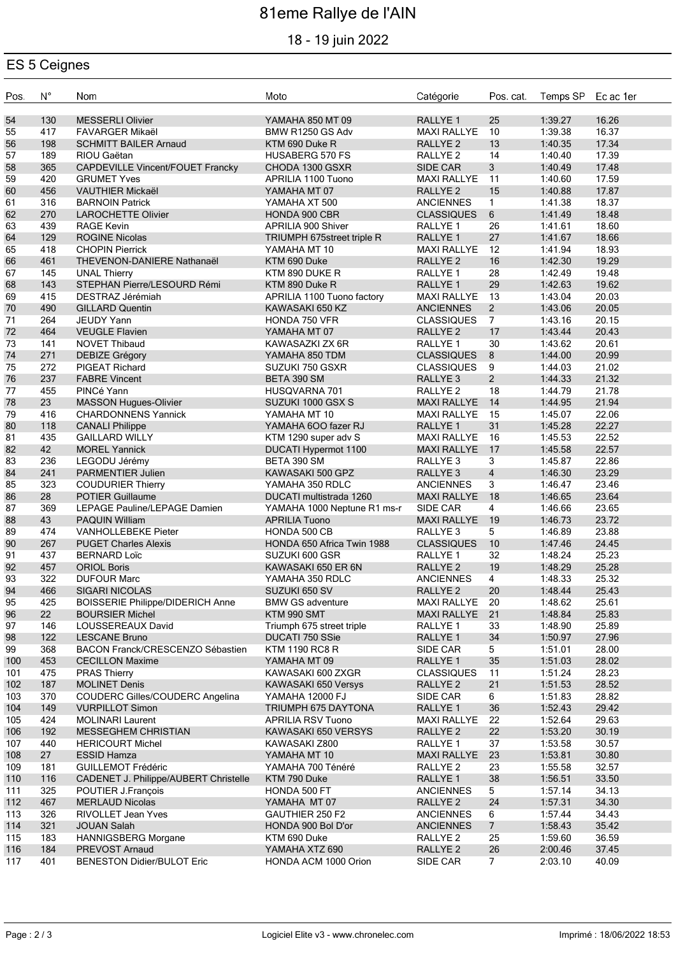# 81eme Rallye de l'AIN

### 18 - 19 juin 2022

### ES 5 Ceignes

| Pos.       | $N^{\circ}$ | Nom                                                        | Moto                                         | Catégorie                                 | Pos. cat.       | Temps SP           | Ec ac 1er      |
|------------|-------------|------------------------------------------------------------|----------------------------------------------|-------------------------------------------|-----------------|--------------------|----------------|
| 54         | 130         | <b>MESSERLI Olivier</b>                                    | YAMAHA 850 MT 09                             | <b>RALLYE 1</b>                           | 25              | 1:39.27            | 16.26          |
| 55         | 417         | <b>FAVARGER Mikaël</b>                                     | BMW R1250 GS Adv                             | <b>MAXI RALLYE</b>                        | 10              | 1:39.38            | 16.37          |
| 56         | 198         | <b>SCHMITT BAILER Arnaud</b>                               | KTM 690 Duke R                               | RALLYE <sub>2</sub>                       | 13              | 1:40.35            | 17.34          |
| 57         | 189         | RIOU Gaëtan                                                | <b>HUSABERG 570 FS</b>                       | RALLYE <sub>2</sub>                       | 14              | 1:40.40            | 17.39          |
| 58         | 365         | CAPDEVILLE Vincent/FOUET Francky                           | CHODA 1300 GSXR                              | <b>SIDE CAR</b>                           | 3               | 1:40.49            | 17.48          |
| 59         | 420         | <b>GRUMET Yves</b>                                         | APRILIA 1100 Tuono                           | <b>MAXI RALLYE</b>                        | 11              | 1:40.60            | 17.59          |
| 60         | 456         | VAUTHIER Mickaël                                           | YAMAHA MT 07                                 | <b>RALLYE 2</b>                           | 15              | 1:40.88            | 17.87          |
| 61         | 316         | <b>BARNOIN Patrick</b>                                     | YAMAHA XT 500                                | <b>ANCIENNES</b>                          | $\mathbf{1}$    | 1:41.38            | 18.37          |
| 62         | 270         | <b>LAROCHETTE Olivier</b>                                  | HONDA 900 CBR                                | <b>CLASSIQUES</b>                         | $6\phantom{1}6$ | 1:41.49            | 18.48          |
| 63         | 439         | <b>RAGE Kevin</b>                                          | APRILIA 900 Shiver                           | RALLYE 1                                  | 26              | 1:41.61            | 18.60          |
| 64         | 129         | <b>ROGINE Nicolas</b>                                      | TRIUMPH 675street triple R                   | RALLYE <sub>1</sub>                       | 27              | 1:41.67            | 18.66          |
| 65         | 418         | <b>CHOPIN Pierrick</b>                                     | YAMAHA MT 10                                 | <b>MAXI RALLYE</b>                        | 12              | 1:41.94            | 18.93          |
| 66         | 461         | THEVENON-DANIERE Nathanaël                                 | KTM 690 Duke                                 | <b>RALLYE 2</b>                           | 16              | 1:42.30            | 19.29          |
| 67         | 145         | <b>UNAL Thierry</b>                                        | KTM 890 DUKE R                               | RALLYE 1                                  | 28              | 1:42.49            | 19.48          |
| 68         | 143         | STEPHAN Pierre/LESOURD Rémi                                | KTM 890 Duke R                               | RALLYE <sub>1</sub>                       | 29              | 1:42.63            | 19.62          |
| 69         | 415         | DESTRAZ Jérémiah                                           | APRILIA 1100 Tuono factory                   | <b>MAXI RALLYE</b>                        | 13              | 1:43.04            | 20.03          |
| 70         | 490         | <b>GILLARD Quentin</b>                                     | KAWASAKI 650 KZ                              | <b>ANCIENNES</b>                          | $2^{\circ}$     | 1:43.06            | 20.05          |
| 71         | 264         | <b>JEUDY Yann</b>                                          | HONDA 750 VFR                                | <b>CLASSIQUES</b>                         | $\overline{7}$  | 1:43.16            | 20.15          |
| 72         | 464         | <b>VEUGLE Flavien</b>                                      | YAMAHA MT 07                                 | RALLYE <sub>2</sub>                       | 17              | 1:43.44            | 20.43          |
| 73         | 141         | <b>NOVET Thibaud</b>                                       | KAWASAZKI ZX 6R                              | RALLYE 1                                  | 30              | 1:43.62            | 20.61          |
| 74         | 271         | <b>DEBIZE Grégory</b>                                      | YAMAHA 850 TDM                               | <b>CLASSIQUES</b>                         | 8               | 1:44.00            | 20.99          |
| 75         | 272         | PIGEAT Richard                                             | SUZUKI 750 GSXR                              | <b>CLASSIQUES</b>                         | 9               | 1:44.03            | 21.02          |
| 76         | 237         | <b>FABRE Vincent</b>                                       | BETA 390 SM                                  | RALLYE <sub>3</sub>                       | $\overline{2}$  | 1:44.33            | 21.32          |
| 77         | 455         | PINCé Yann                                                 | HUSQVARNA 701                                | RALLYE <sub>2</sub>                       | 18              | 1:44.79            | 21.78          |
| 78         | 23          | <b>MASSON Hugues-Olivier</b><br><b>CHARDONNENS Yannick</b> | SUZUKI 1000 GSX S                            | <b>MAXI RALLYE</b>                        | 14              | 1:44.95            | 21.94          |
| 79         | 416         |                                                            | YAMAHA MT 10                                 | <b>MAXI RALLYE</b>                        | 15<br>31        | 1:45.07            | 22.06          |
| 80<br>81   | 118<br>435  | <b>CANALI Philippe</b><br><b>GAILLARD WILLY</b>            | YAMAHA 6OO fazer RJ                          | RALLYE <sub>1</sub><br><b>MAXI RALLYE</b> | 16              | 1:45.28<br>1:45.53 | 22.27<br>22.52 |
| 82         | 42          | <b>MOREL Yannick</b>                                       | KTM 1290 super adv S<br>DUCATI Hypermot 1100 | <b>MAXI RALLYE</b>                        | 17              | 1:45.58            | 22.57          |
| 83         | 236         | LEGODU Jérémy                                              | BETA 390 SM                                  | RALLYE <sub>3</sub>                       | 3               | 1:45.87            | 22.86          |
| 84         | 241         | PARMENTIER Julien                                          | KAWASAKI 500 GPZ                             | RALLYE <sub>3</sub>                       | $\overline{4}$  | 1:46.30            | 23.29          |
| 85         | 323         | <b>COUDURIER Thierry</b>                                   | YAMAHA 350 RDLC                              | <b>ANCIENNES</b>                          | 3               | 1:46.47            | 23.46          |
| 86         | 28          | <b>POTIER Guillaume</b>                                    | DUCATI multistrada 1260                      | <b>MAXI RALLYE</b>                        | 18              | 1:46.65            | 23.64          |
| 87         | 369         | LEPAGE Pauline/LEPAGE Damien                               | YAMAHA 1000 Neptune R1 ms-r                  | SIDE CAR                                  | $\overline{4}$  | 1:46.66            | 23.65          |
| 88         | 43          | <b>PAQUIN William</b>                                      | <b>APRILIA Tuono</b>                         | <b>MAXI RALLYE</b>                        | 19              | 1:46.73            | 23.72          |
| 89         | 474         | <b>VANHOLLEBEKE Pieter</b>                                 | HONDA 500 CB                                 | RALLYE <sub>3</sub>                       | 5               | 1:46.89            | 23.88          |
| 90         | 267         | <b>PUGET Charles Alexis</b>                                | HONDA 650 Africa Twin 1988                   | <b>CLASSIQUES</b>                         | $10$            | 1:47.46            | 24.45          |
| 91         | 437         | <b>BERNARD Loïc</b>                                        | SUZUKI 600 GSR                               | RALLYE <sub>1</sub>                       | 32              | 1:48.24            | 25.23          |
| 92         | 457         | <b>ORIOL Boris</b>                                         | KAWASAKI 650 ER 6N                           | <b>RALLYE 2</b>                           | 19              | 1:48.29            | 25.28          |
| 93         | 322         | <b>DUFOUR Marc</b>                                         | YAMAHA 350 RDLC                              | <b>ANCIENNES</b>                          | $\overline{4}$  | 1:48.33            | 25.32          |
| 94         | 466         | <b>SIGARI NICOLAS</b>                                      | SUZUKI 650 SV                                | <b>RALLYE 2</b>                           | 20              | 1:48.44            | 25.43          |
| 95         | 425         | <b>BOISSERIE Philippe/DIDERICH Anne</b>                    | <b>BMW GS adventure</b>                      | <b>MAXI RALLYE</b>                        | 20              | 1:48.62            | 25.61          |
| 96         | 22          | <b>BOURSIER Michel</b>                                     | KTM 990 SMT                                  | <b>MAXI RALLYE</b>                        | 21              | 1:48.84            | 25.83          |
| 97         | 146         | LOUSSEREAUX David                                          | Triumph 675 street triple                    | RALLYE 1                                  | 33              | 1:48.90            | 25.89          |
| 98         | 122         | <b>LESCANE Bruno</b>                                       | DUCATI 750 SSie                              | RALLYE 1                                  | 34              | 1:50.97            | 27.96          |
| 99         | 368         | BACON Franck/CRESCENZO Sébastien                           | <b>KTM 1190 RC8 R</b>                        | SIDE CAR                                  | 5               | 1:51.01            | 28.00          |
| 100        | 453         | <b>CECILLON Maxime</b>                                     | YAMAHA MT 09                                 | RALLYE <sub>1</sub>                       | 35              | 1:51.03            | 28.02          |
| 101        | 475         | <b>PRAS Thierry</b>                                        | KAWASAKI 600 ZXGR                            | <b>CLASSIQUES</b>                         | 11              | 1:51.24            | 28.23          |
| 102        | 187         | <b>MOLINET Denis</b>                                       | KAWASAKI 650 Versys                          | RALLYE <sub>2</sub>                       | 21              | 1:51.53            | 28.52          |
| 103        | 370         | COUDERC Gilles/COUDERC Angelina                            | <b>YAMAHA 12000 FJ</b>                       | SIDE CAR                                  | 6               | 1:51.83            | 28.82          |
| 104        | 149         | <b>VURPILLOT Simon</b>                                     | TRIUMPH 675 DAYTONA                          | RALLYE <sub>1</sub>                       | 36              | 1:52.43            | 29.42          |
| 105        | 424         | <b>MOLINARI Laurent</b>                                    | <b>APRILIA RSV Tuono</b>                     | <b>MAXI RALLYE</b>                        | 22              | 1:52.64            | 29.63          |
| 106        | 192         | <b>MESSEGHEM CHRISTIAN</b>                                 | KAWASAKI 650 VERSYS                          | RALLYE <sub>2</sub>                       | 22              | 1:53.20            | 30.19          |
| 107        | 440         | <b>HERICOURT Michel</b>                                    | KAWASAKI Z800                                | RALLYE 1                                  | 37              | 1:53.58            | 30.57          |
| 108<br>109 | 27<br>181   | <b>ESSID Hamza</b><br><b>GUILLEMOT Frédéric</b>            | YAMAHA MT 10<br>YAMAHA 700 Ténéré            | <b>MAXI RALLYE</b><br>RALLYE <sub>2</sub> | 23<br>23        | 1:53.81<br>1:55.58 | 30.80<br>32.57 |
| 110        | 116         | CADENET J. Philippe/AUBERT Christelle                      | KTM 790 Duke                                 | RALLYE <sub>1</sub>                       | 38              | 1:56.51            | 33.50          |
| 111        | 325         | POUTIER J.François                                         | HONDA 500 FT                                 | <b>ANCIENNES</b>                          | 5               | 1:57.14            | 34.13          |
| 112        | 467         | <b>MERLAUD Nicolas</b>                                     | YAMAHA MT 07                                 | RALLYE <sub>2</sub>                       | 24              | 1:57.31            | 34.30          |
| 113        | 326         | RIVOLLET Jean Yves                                         | GAUTHIER 250 F2                              | <b>ANCIENNES</b>                          | 6               | 1:57.44            | 34.43          |
| 114        | 321         | <b>JOUAN Salah</b>                                         | HONDA 900 Bol D'or                           | <b>ANCIENNES</b>                          | 7 <sup>7</sup>  | 1:58.43            | 35.42          |
| 115        | 183         | HANNIGSBERG Morgane                                        | KTM 690 Duke                                 | RALLYE <sub>2</sub>                       | 25              | 1:59.60            | 36.59          |
| 116        | 184         | PREVOST Arnaud                                             | YAMAHA XTZ 690                               | RALLYE <sub>2</sub>                       | 26              | 2:00.46            | 37.45          |
| 117        | 401         | <b>BENESTON Didier/BULOT Eric</b>                          | HONDA ACM 1000 Orion                         | SIDE CAR                                  | $7^{\circ}$     | 2:03.10            | 40.09          |
|            |             |                                                            |                                              |                                           |                 |                    |                |